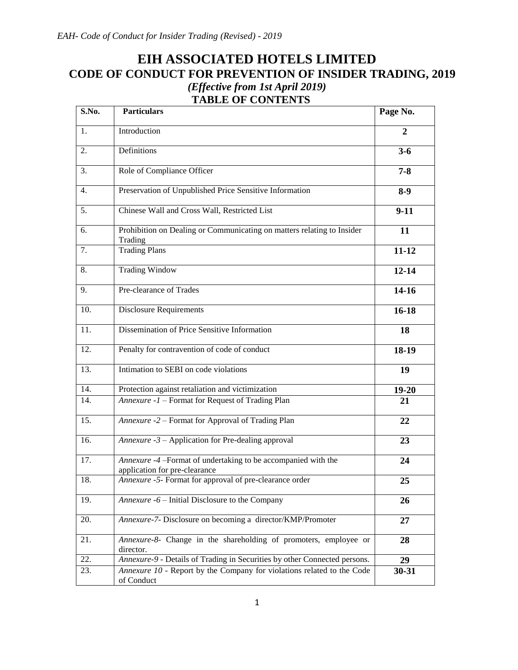# **EIH ASSOCIATED HOTELS LIMITED CODE OF CONDUCT FOR PREVENTION OF INSIDER TRADING, 2019** *(Effective from 1st April 2019)*  **TABLE OF CONTENTS**

| S.No.            | <b>Particulars</b>                                                                             | Page No.     |
|------------------|------------------------------------------------------------------------------------------------|--------------|
| 1.               | Introduction                                                                                   | $\mathbf{2}$ |
| 2.               | Definitions                                                                                    | $3 - 6$      |
| 3.               | Role of Compliance Officer                                                                     | $7 - 8$      |
| $\overline{4}$ . | Preservation of Unpublished Price Sensitive Information                                        | $8-9$        |
| 5.               | Chinese Wall and Cross Wall, Restricted List                                                   | $9-11$       |
| 6.               | Prohibition on Dealing or Communicating on matters relating to Insider<br>Trading              | 11           |
| 7.               | <b>Trading Plans</b>                                                                           | $11 - 12$    |
| 8.               | <b>Trading Window</b>                                                                          | $12 - 14$    |
| 9.               | Pre-clearance of Trades                                                                        | $14-16$      |
| 10.              | <b>Disclosure Requirements</b>                                                                 | $16 - 18$    |
| 11.              | Dissemination of Price Sensitive Information                                                   | 18           |
| 12.              | Penalty for contravention of code of conduct                                                   | 18-19        |
| 13.              | Intimation to SEBI on code violations                                                          | 19           |
| 14.              | Protection against retaliation and victimization                                               | $19 - 20$    |
| 14.              | Annexure -1 - Format for Request of Trading Plan                                               | 21           |
| 15.              | Annexure -2 - Format for Approval of Trading Plan                                              | 22           |
| 16.              | Annexure $-3$ – Application for Pre-dealing approval                                           | 23           |
| 17.              | Annexure -4 -Format of undertaking to be accompanied with the<br>application for pre-clearance | 24           |
| 18.              | Annexure -5- Format for approval of pre-clearance order                                        | 25           |
| 19.              | Annexure -6 – Initial Disclosure to the Company                                                | 26           |
| 20.              | Annexure-7- Disclosure on becoming a director/KMP/Promoter                                     | 27           |
| 21.              | Annexure-8- Change in the shareholding of promoters, employee or<br>director.                  | 28           |
| 22.              | Annexure-9 - Details of Trading in Securities by other Connected persons.                      | 29           |
| 23.              | Annexure 10 - Report by the Company for violations related to the Code<br>of Conduct           | 30-31        |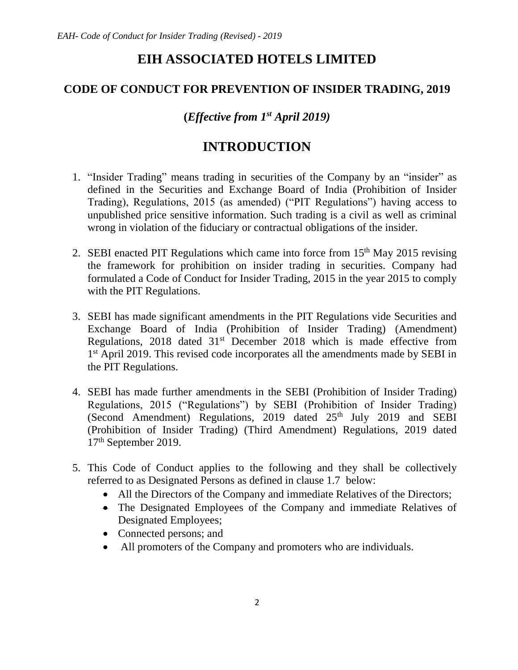# **EIH ASSOCIATED HOTELS LIMITED**

# **CODE OF CONDUCT FOR PREVENTION OF INSIDER TRADING, 2019**

**(***Effective from 1 st April 2019)*

# **INTRODUCTION**

- 1. "Insider Trading" means trading in securities of the Company by an "insider" as defined in the Securities and Exchange Board of India (Prohibition of Insider Trading), Regulations, 2015 (as amended) ("PIT Regulations") having access to unpublished price sensitive information. Such trading is a civil as well as criminal wrong in violation of the fiduciary or contractual obligations of the insider.
- 2. SEBI enacted PIT Regulations which came into force from  $15<sup>th</sup>$  May 2015 revising the framework for prohibition on insider trading in securities. Company had formulated a Code of Conduct for Insider Trading, 2015 in the year 2015 to comply with the PIT Regulations.
- 3. SEBI has made significant amendments in the PIT Regulations vide Securities and Exchange Board of India (Prohibition of Insider Trading) (Amendment) Regulations, 2018 dated 31<sup>st</sup> December 2018 which is made effective from 1<sup>st</sup> April 2019. This revised code incorporates all the amendments made by SEBI in the PIT Regulations.
- 4. SEBI has made further amendments in the SEBI (Prohibition of Insider Trading) Regulations, 2015 ("Regulations") by SEBI (Prohibition of Insider Trading) (Second Amendment) Regulations, 2019 dated  $25<sup>th</sup>$  July 2019 and SEBI (Prohibition of Insider Trading) (Third Amendment) Regulations, 2019 dated 17th September 2019.
- 5. This Code of Conduct applies to the following and they shall be collectively referred to as Designated Persons as defined in clause 1.7 below:
	- All the Directors of the Company and immediate Relatives of the Directors;
	- The Designated Employees of the Company and immediate Relatives of Designated Employees;
	- Connected persons; and
	- All promoters of the Company and promoters who are individuals.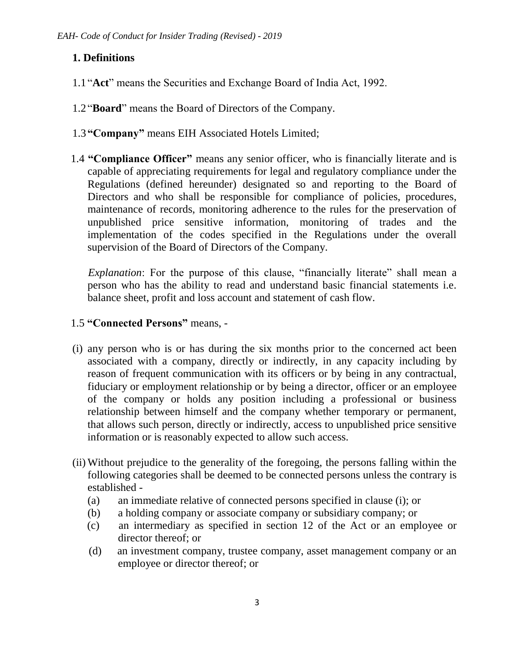# **1. Definitions**

- 1.1 "**Act**" means the Securities and Exchange Board of India Act, 1992.
- 1.2 "**Board**" means the Board of Directors of the Company.
- 1.3 **"Company"** means EIH Associated Hotels Limited;
- 1.4 **"Compliance Officer"** means any senior officer, who is financially literate and is capable of appreciating requirements for legal and regulatory compliance under the Regulations (defined hereunder) designated so and reporting to the Board of Directors and who shall be responsible for compliance of policies, procedures, maintenance of records, monitoring adherence to the rules for the preservation of unpublished price sensitive information, monitoring of trades and the implementation of the codes specified in the Regulations under the overall supervision of the Board of Directors of the Company.

*Explanation*: For the purpose of this clause, "financially literate" shall mean a person who has the ability to read and understand basic financial statements i.e. balance sheet, profit and loss account and statement of cash flow.

- 1.5 **"Connected Persons"** means, -
- (i) any person who is or has during the six months prior to the concerned act been associated with a company, directly or indirectly, in any capacity including by reason of frequent communication with its officers or by being in any contractual, fiduciary or employment relationship or by being a director, officer or an employee of the company or holds any position including a professional or business relationship between himself and the company whether temporary or permanent, that allows such person, directly or indirectly, access to unpublished price sensitive information or is reasonably expected to allow such access.
- (ii) Without prejudice to the generality of the foregoing, the persons falling within the following categories shall be deemed to be connected persons unless the contrary is established -
	- (a) an immediate relative of connected persons specified in clause (i); or
	- (b) a holding company or associate company or subsidiary company; or
	- (c) an intermediary as specified in section 12 of the Act or an employee or director thereof; or
	- (d) an investment company, trustee company, asset management company or an employee or director thereof; or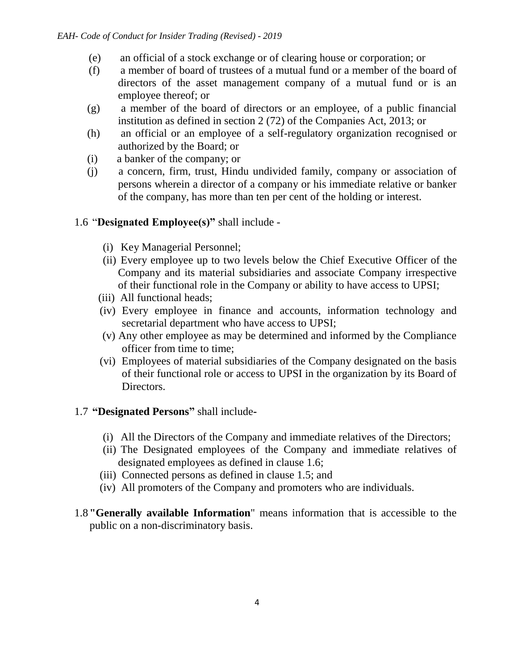- (e) an official of a stock exchange or of clearing house or corporation; or
- (f) a member of board of trustees of a mutual fund or a member of the board of directors of the asset management company of a mutual fund or is an employee thereof; or
- (g) a member of the board of directors or an employee, of a public financial institution as defined in section 2 (72) of the Companies Act, 2013; or
- (h) an official or an employee of a self-regulatory organization recognised or authorized by the Board; or
- (i) a banker of the company; or
- (j) a concern, firm, trust, Hindu undivided family, company or association of persons wherein a director of a company or his immediate relative or banker of the company, has more than ten per cent of the holding or interest.

# 1.6 "**Designated Employee(s)"** shall include -

- (i) Key Managerial Personnel;
- (ii) Every employee up to two levels below the Chief Executive Officer of the Company and its material subsidiaries and associate Company irrespective of their functional role in the Company or ability to have access to UPSI;
- (iii) All functional heads;
- (iv) Every employee in finance and accounts, information technology and secretarial department who have access to UPSI;
- (v) Any other employee as may be determined and informed by the Compliance officer from time to time;
- (vi) Employees of material subsidiaries of the Company designated on the basis of their functional role or access to UPSI in the organization by its Board of Directors.

#### 1.7 **"Designated Persons"** shall include**-**

- (i) All the Directors of the Company and immediate relatives of the Directors;
- (ii) The Designated employees of the Company and immediate relatives of designated employees as defined in clause 1.6;
- (iii) Connected persons as defined in clause 1.5; and
- (iv) All promoters of the Company and promoters who are individuals.
- 1.8**"Generally available Information**" means information that is accessible to the public on a non-discriminatory basis.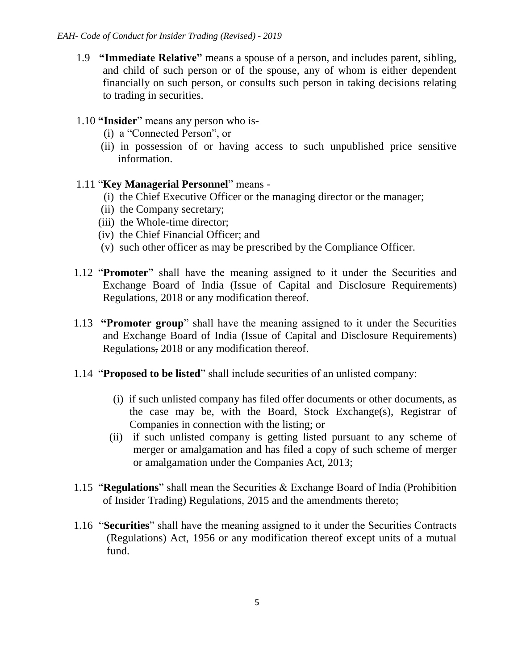1.9 **"Immediate Relative"** means a spouse of a person, and includes parent, sibling, and child of such person or of the spouse, any of whom is either dependent financially on such person, or consults such person in taking decisions relating to trading in securities.

### 1.10 **"Insider**" means any person who is-

- (i) a "Connected Person", or
- (ii) in possession of or having access to such unpublished price sensitive information.

### 1.11 "**Key Managerial Personnel**" means -

- (i) the Chief Executive Officer or the managing director or the manager;
- (ii) the Company secretary;
- (iii) the Whole-time director;
- (iv) the Chief Financial Officer; and
- (v) such other officer as may be prescribed by the Compliance Officer.
- 1.12 "**Promoter**" shall have the meaning assigned to it under the Securities and Exchange Board of India (Issue of Capital and Disclosure Requirements) Regulations, 2018 or any modification thereof.
- 1.13 **"Promoter group**" shall have the meaning assigned to it under the Securities and Exchange Board of India (Issue of Capital and Disclosure Requirements) Regulations, 2018 or any modification thereof.
- 1.14 "**Proposed to be listed**" shall include securities of an unlisted company:
	- (i) if such unlisted company has filed offer documents or other documents, as the case may be, with the Board, Stock Exchange(s), Registrar of Companies in connection with the listing; or
	- (ii) if such unlisted company is getting listed pursuant to any scheme of merger or amalgamation and has filed a copy of such scheme of merger or amalgamation under the Companies Act, 2013;
- 1.15 "**Regulations**" shall mean the Securities & Exchange Board of India (Prohibition of Insider Trading) Regulations, 2015 and the amendments thereto;
- 1.16 "**Securities**" shall have the meaning assigned to it under the Securities Contracts (Regulations) Act, 1956 or any modification thereof except units of a mutual fund.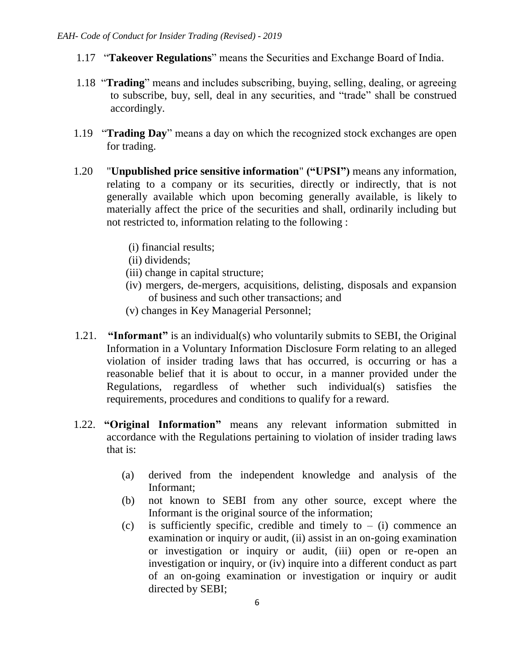- 1.17 "**Takeover Regulations**" means the Securities and Exchange Board of India.
- 1.18 "**Trading**" means and includes subscribing, buying, selling, dealing, or agreeing to subscribe, buy, sell, deal in any securities, and "trade" shall be construed accordingly.
- 1.19 "**Trading Day**" means a day on which the recognized stock exchanges are open for trading.
- 1.20 "**Unpublished price sensitive information**" **("UPSI")** means any information, relating to a company or its securities, directly or indirectly, that is not generally available which upon becoming generally available, is likely to materially affect the price of the securities and shall, ordinarily including but not restricted to, information relating to the following :
	- (i) financial results;
	- (ii) dividends;
	- (iii) change in capital structure;
	- (iv) mergers, de-mergers, acquisitions, delisting, disposals and expansion of business and such other transactions; and
	- (v) changes in Key Managerial Personnel;
- 1.21. **"Informant"** is an individual(s) who voluntarily submits to SEBI, the Original Information in a Voluntary Information Disclosure Form relating to an alleged violation of insider trading laws that has occurred, is occurring or has a reasonable belief that it is about to occur, in a manner provided under the Regulations, regardless of whether such individual(s) satisfies the requirements, procedures and conditions to qualify for a reward.
- 1.22. **"Original Information"** means any relevant information submitted in accordance with the Regulations pertaining to violation of insider trading laws that is:
	- (a) derived from the independent knowledge and analysis of the Informant;
	- (b) not known to SEBI from any other source, except where the Informant is the original source of the information;
	- (c) is sufficiently specific, credible and timely to  $-$  (i) commence an examination or inquiry or audit, (ii) assist in an on-going examination or investigation or inquiry or audit, (iii) open or re-open an investigation or inquiry, or (iv) inquire into a different conduct as part of an on-going examination or investigation or inquiry or audit directed by SEBI;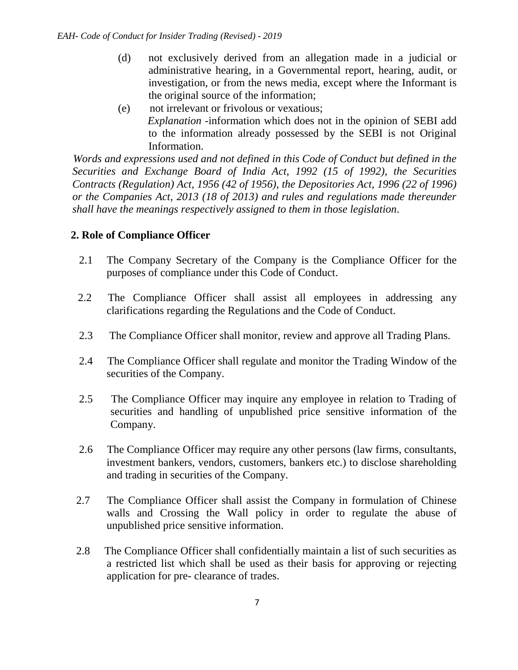- (d) not exclusively derived from an allegation made in a judicial or administrative hearing, in a Governmental report, hearing, audit, or investigation, or from the news media, except where the Informant is the original source of the information;
- (e) not irrelevant or frivolous or vexatious; *Explanation* -information which does not in the opinion of SEBI add to the information already possessed by the SEBI is not Original Information.

 *Words and expressions used and not defined in this Code of Conduct but defined in the Securities and Exchange Board of India Act, 1992 (15 of 1992), the Securities Contracts (Regulation) Act, 1956 (42 of 1956), the Depositories Act, 1996 (22 of 1996) or the Companies Act, 2013 (18 of 2013) and rules and regulations made thereunder shall have the meanings respectively assigned to them in those legislation*.

# **2. Role of Compliance Officer**

- 2.1 The Company Secretary of the Company is the Compliance Officer for the purposes of compliance under this Code of Conduct.
- 2.2 The Compliance Officer shall assist all employees in addressing any clarifications regarding the Regulations and the Code of Conduct.
- 2.3 The Compliance Officer shall monitor, review and approve all Trading Plans.
- 2.4 The Compliance Officer shall regulate and monitor the Trading Window of the securities of the Company.
- 2.5 The Compliance Officer may inquire any employee in relation to Trading of securities and handling of unpublished price sensitive information of the Company.
- 2.6 The Compliance Officer may require any other persons (law firms, consultants, investment bankers, vendors, customers, bankers etc.) to disclose shareholding and trading in securities of the Company.
- 2.7 The Compliance Officer shall assist the Company in formulation of Chinese walls and Crossing the Wall policy in order to regulate the abuse of unpublished price sensitive information.
- 2.8 The Compliance Officer shall confidentially maintain a list of such securities as a restricted list which shall be used as their basis for approving or rejecting application for pre- clearance of trades.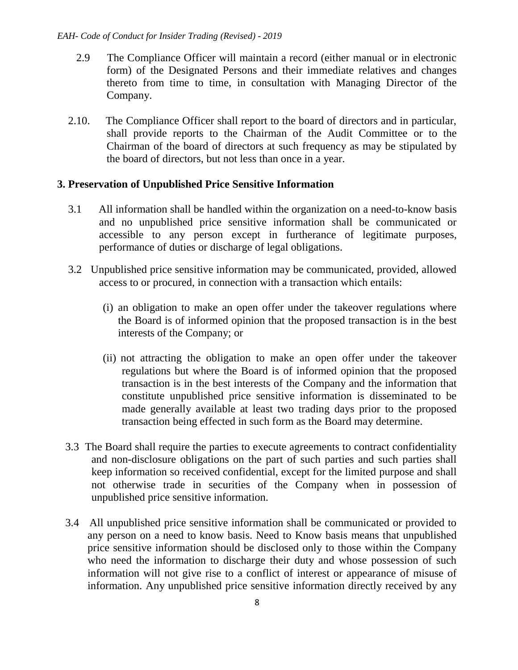- 2.9 The Compliance Officer will maintain a record (either manual or in electronic form) of the Designated Persons and their immediate relatives and changes thereto from time to time, in consultation with Managing Director of the Company.
- 2.10. The Compliance Officer shall report to the board of directors and in particular, shall provide reports to the Chairman of the Audit Committee or to the Chairman of the board of directors at such frequency as may be stipulated by the board of directors, but not less than once in a year.

### **3. Preservation of Unpublished Price Sensitive Information**

- 3.1 All information shall be handled within the organization on a need-to-know basis and no unpublished price sensitive information shall be communicated or accessible to any person except in furtherance of legitimate purposes, performance of duties or discharge of legal obligations.
- 3.2 Unpublished price sensitive information may be communicated, provided, allowed access to or procured, in connection with a transaction which entails:
	- (i) an obligation to make an open offer under the takeover regulations where the Board is of informed opinion that the proposed transaction is in the best interests of the Company; or
	- (ii) not attracting the obligation to make an open offer under the takeover regulations but where the Board is of informed opinion that the proposed transaction is in the best interests of the Company and the information that constitute unpublished price sensitive information is disseminated to be made generally available at least two trading days prior to the proposed transaction being effected in such form as the Board may determine.
- 3.3 The Board shall require the parties to execute agreements to contract confidentiality and non-disclosure obligations on the part of such parties and such parties shall keep information so received confidential, except for the limited purpose and shall not otherwise trade in securities of the Company when in possession of unpublished price sensitive information.
- 3.4 All unpublished price sensitive information shall be communicated or provided to any person on a need to know basis. Need to Know basis means that unpublished price sensitive information should be disclosed only to those within the Company who need the information to discharge their duty and whose possession of such information will not give rise to a conflict of interest or appearance of misuse of information. Any unpublished price sensitive information directly received by any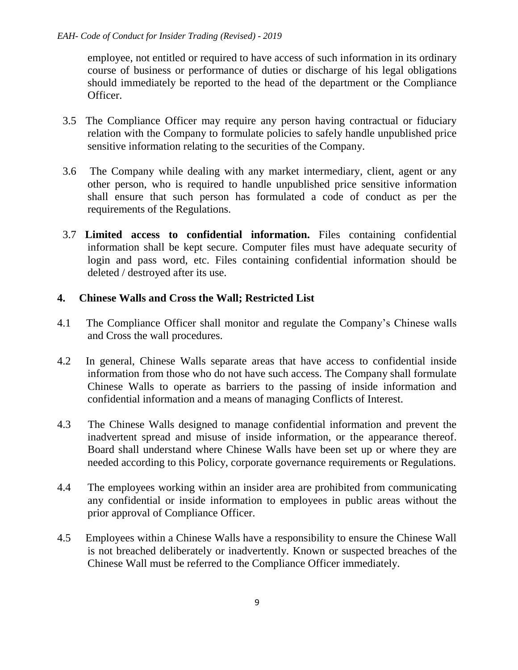employee, not entitled or required to have access of such information in its ordinary course of business or performance of duties or discharge of his legal obligations should immediately be reported to the head of the department or the Compliance Officer.

- 3.5 The Compliance Officer may require any person having contractual or fiduciary relation with the Company to formulate policies to safely handle unpublished price sensitive information relating to the securities of the Company.
- 3.6 The Company while dealing with any market intermediary, client, agent or any other person, who is required to handle unpublished price sensitive information shall ensure that such person has formulated a code of conduct as per the requirements of the Regulations.
- 3.7 **Limited access to confidential information.** Files containing confidential information shall be kept secure. Computer files must have adequate security of login and pass word, etc. Files containing confidential information should be deleted / destroyed after its use.

### **4. Chinese Walls and Cross the Wall; Restricted List**

- 4.1 The Compliance Officer shall monitor and regulate the Company's Chinese walls and Cross the wall procedures.
- 4.2 In general, Chinese Walls separate areas that have access to confidential inside information from those who do not have such access. The Company shall formulate Chinese Walls to operate as barriers to the passing of inside information and confidential information and a means of managing Conflicts of Interest.
- 4.3 The Chinese Walls designed to manage confidential information and prevent the inadvertent spread and misuse of inside information, or the appearance thereof. Board shall understand where Chinese Walls have been set up or where they are needed according to this Policy, corporate governance requirements or Regulations.
- 4.4 The employees working within an insider area are prohibited from communicating any confidential or inside information to employees in public areas without the prior approval of Compliance Officer.
- 4.5 Employees within a Chinese Walls have a responsibility to ensure the Chinese Wall is not breached deliberately or inadvertently. Known or suspected breaches of the Chinese Wall must be referred to the Compliance Officer immediately.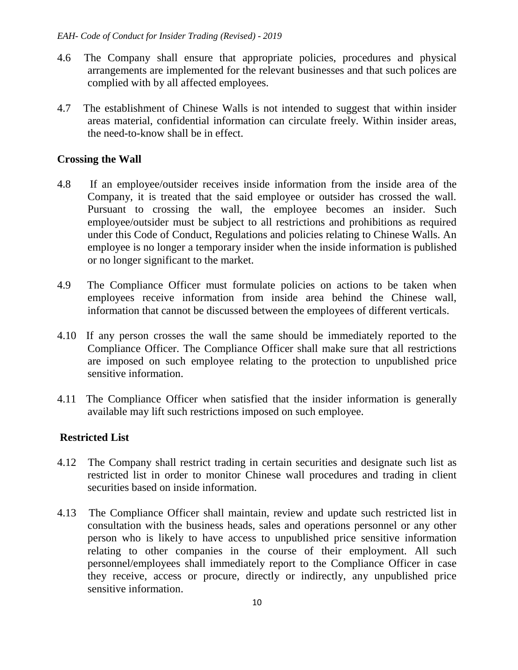- 4.6 The Company shall ensure that appropriate policies, procedures and physical arrangements are implemented for the relevant businesses and that such polices are complied with by all affected employees.
- 4.7 The establishment of Chinese Walls is not intended to suggest that within insider areas material, confidential information can circulate freely. Within insider areas, the need-to-know shall be in effect.

### **Crossing the Wall**

- 4.8 If an employee/outsider receives inside information from the inside area of the Company, it is treated that the said employee or outsider has crossed the wall. Pursuant to crossing the wall, the employee becomes an insider. Such employee/outsider must be subject to all restrictions and prohibitions as required under this Code of Conduct, Regulations and policies relating to Chinese Walls. An employee is no longer a temporary insider when the inside information is published or no longer significant to the market.
- 4.9 The Compliance Officer must formulate policies on actions to be taken when employees receive information from inside area behind the Chinese wall, information that cannot be discussed between the employees of different verticals.
- 4.10 If any person crosses the wall the same should be immediately reported to the Compliance Officer. The Compliance Officer shall make sure that all restrictions are imposed on such employee relating to the protection to unpublished price sensitive information.
- 4.11 The Compliance Officer when satisfied that the insider information is generally available may lift such restrictions imposed on such employee.

# **Restricted List**

- 4.12 The Company shall restrict trading in certain securities and designate such list as restricted list in order to monitor Chinese wall procedures and trading in client securities based on inside information.
- 4.13 The Compliance Officer shall maintain, review and update such restricted list in consultation with the business heads, sales and operations personnel or any other person who is likely to have access to unpublished price sensitive information relating to other companies in the course of their employment. All such personnel/employees shall immediately report to the Compliance Officer in case they receive, access or procure, directly or indirectly, any unpublished price sensitive information.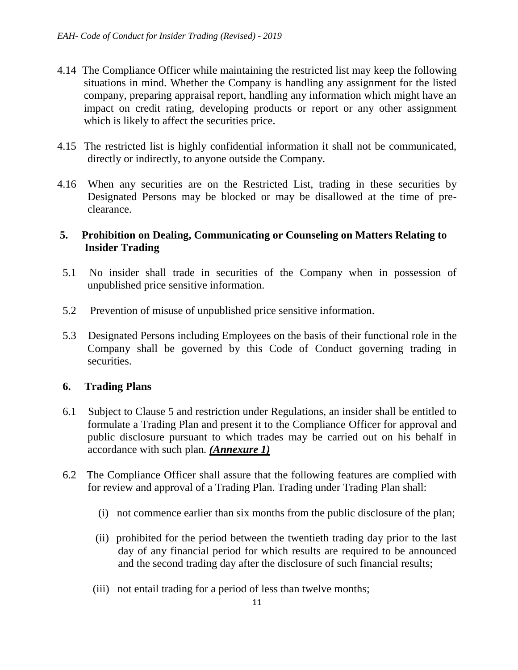- 4.14 The Compliance Officer while maintaining the restricted list may keep the following situations in mind. Whether the Company is handling any assignment for the listed company, preparing appraisal report, handling any information which might have an impact on credit rating, developing products or report or any other assignment which is likely to affect the securities price.
- 4.15 The restricted list is highly confidential information it shall not be communicated, directly or indirectly, to anyone outside the Company.
- 4.16 When any securities are on the Restricted List, trading in these securities by Designated Persons may be blocked or may be disallowed at the time of preclearance.

### **5. Prohibition on Dealing, Communicating or Counseling on Matters Relating to Insider Trading**

- 5.1 No insider shall trade in securities of the Company when in possession of unpublished price sensitive information.
- 5.2 Prevention of misuse of unpublished price sensitive information.
- 5.3 Designated Persons including Employees on the basis of their functional role in the Company shall be governed by this Code of Conduct governing trading in securities.

# **6. Trading Plans**

- 6.1 Subject to Clause 5 and restriction under Regulations, an insider shall be entitled to formulate a Trading Plan and present it to the Compliance Officer for approval and public disclosure pursuant to which trades may be carried out on his behalf in accordance with such plan*. (Annexure 1)*
- 6.2 The Compliance Officer shall assure that the following features are complied with for review and approval of a Trading Plan. Trading under Trading Plan shall:
	- (i) not commence earlier than six months from the public disclosure of the plan;
	- (ii) prohibited for the period between the twentieth trading day prior to the last day of any financial period for which results are required to be announced and the second trading day after the disclosure of such financial results;
	- (iii) not entail trading for a period of less than twelve months;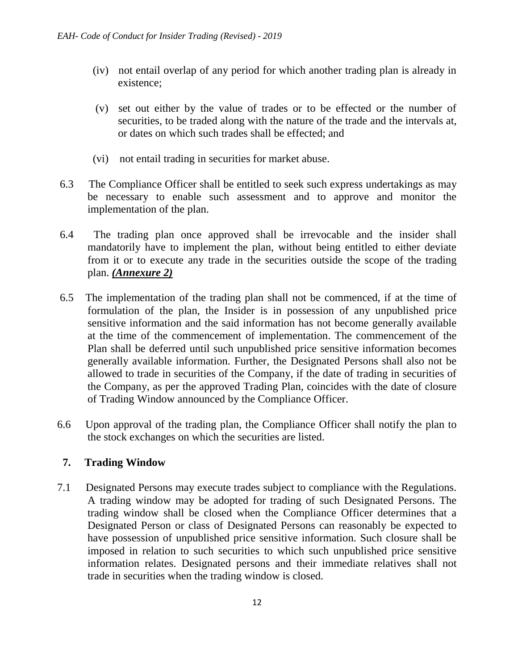- (iv) not entail overlap of any period for which another trading plan is already in existence;
- (v) set out either by the value of trades or to be effected or the number of securities, to be traded along with the nature of the trade and the intervals at, or dates on which such trades shall be effected; and
- (vi) not entail trading in securities for market abuse.
- 6.3 The Compliance Officer shall be entitled to seek such express undertakings as may be necessary to enable such assessment and to approve and monitor the implementation of the plan.
- 6.4 The trading plan once approved shall be irrevocable and the insider shall mandatorily have to implement the plan, without being entitled to either deviate from it or to execute any trade in the securities outside the scope of the trading plan. *(Annexure 2)*
- 6.5 The implementation of the trading plan shall not be commenced, if at the time of formulation of the plan, the Insider is in possession of any unpublished price sensitive information and the said information has not become generally available at the time of the commencement of implementation. The commencement of the Plan shall be deferred until such unpublished price sensitive information becomes generally available information. Further, the Designated Persons shall also not be allowed to trade in securities of the Company, if the date of trading in securities of the Company, as per the approved Trading Plan, coincides with the date of closure of Trading Window announced by the Compliance Officer.
- 6.6 Upon approval of the trading plan, the Compliance Officer shall notify the plan to the stock exchanges on which the securities are listed.

# **7. Trading Window**

7.1 Designated Persons may execute trades subject to compliance with the Regulations. A trading window may be adopted for trading of such Designated Persons. The trading window shall be closed when the Compliance Officer determines that a Designated Person or class of Designated Persons can reasonably be expected to have possession of unpublished price sensitive information. Such closure shall be imposed in relation to such securities to which such unpublished price sensitive information relates. Designated persons and their immediate relatives shall not trade in securities when the trading window is closed.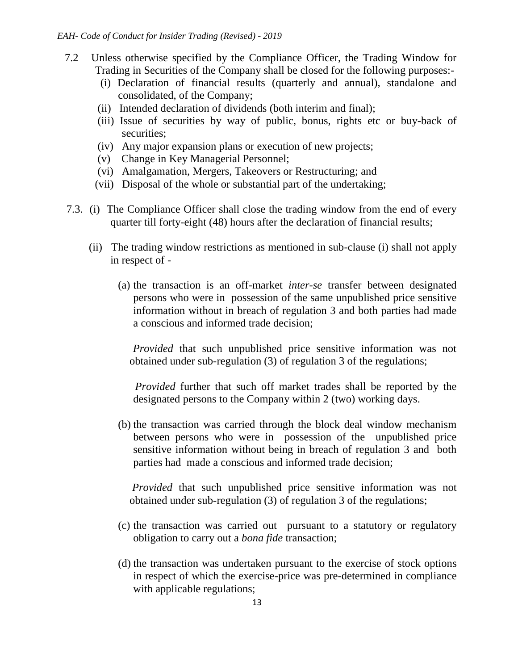- 7.2 Unless otherwise specified by the Compliance Officer, the Trading Window for Trading in Securities of the Company shall be closed for the following purposes:-
	- (i) Declaration of financial results (quarterly and annual), standalone and consolidated, of the Company;
	- (ii) Intended declaration of dividends (both interim and final);
	- (iii) Issue of securities by way of public, bonus, rights etc or buy-back of securities;
	- (iv) Any major expansion plans or execution of new projects;
	- (v) Change in Key Managerial Personnel;
	- (vi) Amalgamation, Mergers, Takeovers or Restructuring; and
	- (vii) Disposal of the whole or substantial part of the undertaking;
- 7.3. (i) The Compliance Officer shall close the trading window from the end of every quarter till forty-eight (48) hours after the declaration of financial results;
	- (ii) The trading window restrictions as mentioned in sub-clause (i) shall not apply in respect of -
		- (a) the transaction is an off-market *inter-se* transfer between designated persons who were in possession of the same unpublished price sensitive information without in breach of regulation 3 and both parties had made a conscious and informed trade decision;

 *Provided* that such unpublished price sensitive information was not obtained under sub-regulation (3) of regulation 3 of the regulations;

 *Provided* further that such off market trades shall be reported by the designated persons to the Company within 2 (two) working days.

(b) the transaction was carried through the block deal window mechanism between persons who were in possession of the unpublished price sensitive information without being in breach of regulation 3 and both parties had made a conscious and informed trade decision;

*Provided* that such unpublished price sensitive information was not obtained under sub-regulation (3) of regulation 3 of the regulations;

- (c) the transaction was carried out pursuant to a statutory or regulatory obligation to carry out a *bona fide* transaction;
- (d) the transaction was undertaken pursuant to the exercise of stock options in respect of which the exercise-price was pre-determined in compliance with applicable regulations;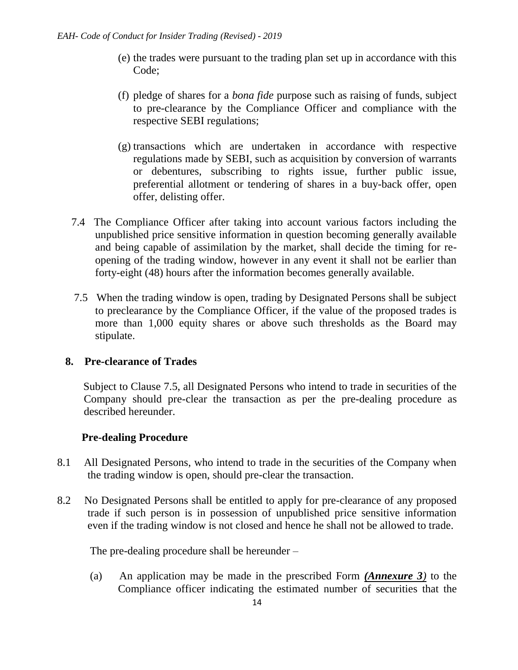- (e) the trades were pursuant to the trading plan set up in accordance with this Code;
- (f) pledge of shares for a *bona fide* purpose such as raising of funds, subject to pre-clearance by the Compliance Officer and compliance with the respective SEBI regulations;
- (g) transactions which are undertaken in accordance with respective regulations made by SEBI, such as acquisition by conversion of warrants or debentures, subscribing to rights issue, further public issue, preferential allotment or tendering of shares in a buy-back offer, open offer, delisting offer.
- 7.4 The Compliance Officer after taking into account various factors including the unpublished price sensitive information in question becoming generally available and being capable of assimilation by the market, shall decide the timing for reopening of the trading window, however in any event it shall not be earlier than forty-eight (48) hours after the information becomes generally available.
- 7.5 When the trading window is open, trading by Designated Persons shall be subject to preclearance by the Compliance Officer, if the value of the proposed trades is more than 1,000 equity shares or above such thresholds as the Board may stipulate.

# **8. Pre-clearance of Trades**

 Subject to Clause 7.5, all Designated Persons who intend to trade in securities of the Company should pre-clear the transaction as per the pre-dealing procedure as described hereunder.

# **Pre-dealing Procedure**

- 8.1 All Designated Persons, who intend to trade in the securities of the Company when the trading window is open, should pre-clear the transaction.
- 8.2 No Designated Persons shall be entitled to apply for pre-clearance of any proposed trade if such person is in possession of unpublished price sensitive information even if the trading window is not closed and hence he shall not be allowed to trade.

The pre-dealing procedure shall be hereunder –

 (a) An application may be made in the prescribed Form *(Annexure 3)* to the Compliance officer indicating the estimated number of securities that the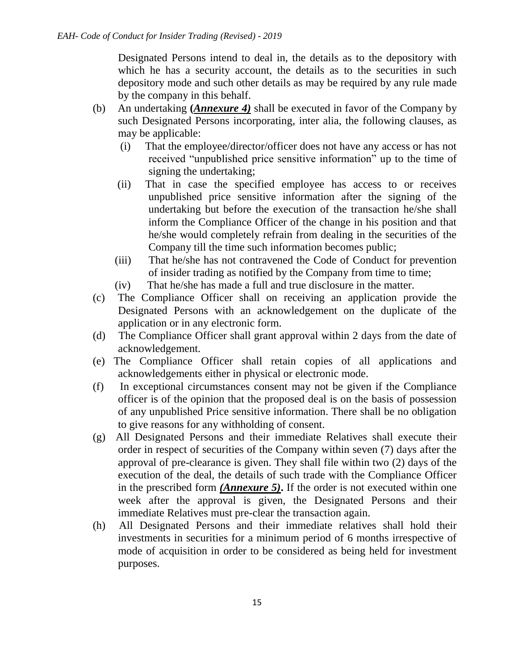Designated Persons intend to deal in, the details as to the depository with which he has a security account, the details as to the securities in such depository mode and such other details as may be required by any rule made by the company in this behalf.

- (b) An undertaking **(***Annexure 4)* shall be executed in favor of the Company by such Designated Persons incorporating, inter alia, the following clauses, as may be applicable:
	- (i) That the employee/director/officer does not have any access or has not received "unpublished price sensitive information" up to the time of signing the undertaking;
	- (ii) That in case the specified employee has access to or receives unpublished price sensitive information after the signing of the undertaking but before the execution of the transaction he/she shall inform the Compliance Officer of the change in his position and that he/she would completely refrain from dealing in the securities of the Company till the time such information becomes public;
	- (iii) That he/she has not contravened the Code of Conduct for prevention of insider trading as notified by the Company from time to time;
	- (iv) That he/she has made a full and true disclosure in the matter.
- (c) The Compliance Officer shall on receiving an application provide the Designated Persons with an acknowledgement on the duplicate of the application or in any electronic form.
- (d) The Compliance Officer shall grant approval within 2 days from the date of acknowledgement.
- (e) The Compliance Officer shall retain copies of all applications and acknowledgements either in physical or electronic mode.
- (f) In exceptional circumstances consent may not be given if the Compliance officer is of the opinion that the proposed deal is on the basis of possession of any unpublished Price sensitive information. There shall be no obligation to give reasons for any withholding of consent.
- (g) All Designated Persons and their immediate Relatives shall execute their order in respect of securities of the Company within seven (7) days after the approval of pre-clearance is given. They shall file within two (2) days of the execution of the deal, the details of such trade with the Compliance Officer in the prescribed form *(Annexure 5)***.** If the order is not executed within one week after the approval is given, the Designated Persons and their immediate Relatives must pre-clear the transaction again.
- (h) All Designated Persons and their immediate relatives shall hold their investments in securities for a minimum period of 6 months irrespective of mode of acquisition in order to be considered as being held for investment purposes.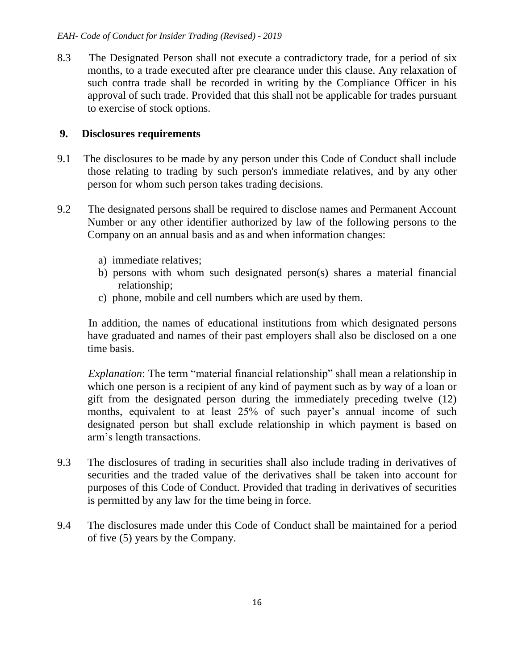8.3 The Designated Person shall not execute a contradictory trade, for a period of six months, to a trade executed after pre clearance under this clause. Any relaxation of such contra trade shall be recorded in writing by the Compliance Officer in his approval of such trade. Provided that this shall not be applicable for trades pursuant to exercise of stock options.

# **9. Disclosures requirements**

- 9.1 The disclosures to be made by any person under this Code of Conduct shall include those relating to trading by such person's immediate relatives, and by any other person for whom such person takes trading decisions.
- 9.2 The designated persons shall be required to disclose names and Permanent Account Number or any other identifier authorized by law of the following persons to the Company on an annual basis and as and when information changes:
	- a) immediate relatives;
	- b) persons with whom such designated person(s) shares a material financial relationship;
	- c) phone, mobile and cell numbers which are used by them.

 In addition, the names of educational institutions from which designated persons have graduated and names of their past employers shall also be disclosed on a one time basis.

 *Explanation*: The term "material financial relationship" shall mean a relationship in which one person is a recipient of any kind of payment such as by way of a loan or gift from the designated person during the immediately preceding twelve (12) months, equivalent to at least 25% of such payer's annual income of such designated person but shall exclude relationship in which payment is based on arm's length transactions.

- 9.3 The disclosures of trading in securities shall also include trading in derivatives of securities and the traded value of the derivatives shall be taken into account for purposes of this Code of Conduct. Provided that trading in derivatives of securities is permitted by any law for the time being in force.
- 9.4 The disclosures made under this Code of Conduct shall be maintained for a period of five (5) years by the Company.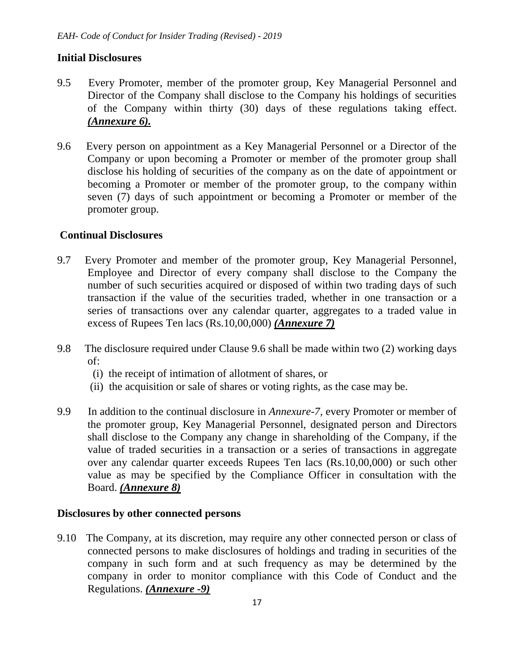# **Initial Disclosures**

- 9.5 Every Promoter, member of the promoter group, Key Managerial Personnel and Director of the Company shall disclose to the Company his holdings of securities of the Company within thirty (30) days of these regulations taking effect. *(Annexure 6).*
- 9.6 Every person on appointment as a Key Managerial Personnel or a Director of the Company or upon becoming a Promoter or member of the promoter group shall disclose his holding of securities of the company as on the date of appointment or becoming a Promoter or member of the promoter group, to the company within seven (7) days of such appointment or becoming a Promoter or member of the promoter group.

### **Continual Disclosures**

- 9.7 Every Promoter and member of the promoter group, Key Managerial Personnel, Employee and Director of every company shall disclose to the Company the number of such securities acquired or disposed of within two trading days of such transaction if the value of the securities traded, whether in one transaction or a series of transactions over any calendar quarter, aggregates to a traded value in excess of Rupees Ten lacs (Rs.10,00,000) *(Annexure 7)*
- 9.8 The disclosure required under Clause 9.6 shall be made within two (2) working days of:
	- (i) the receipt of intimation of allotment of shares, or
	- (ii) the acquisition or sale of shares or voting rights, as the case may be.
- 9.9 In addition to the continual disclosure in *Annexure-7,* every Promoter or member of the promoter group, Key Managerial Personnel, designated person and Directors shall disclose to the Company any change in shareholding of the Company, if the value of traded securities in a transaction or a series of transactions in aggregate over any calendar quarter exceeds Rupees Ten lacs (Rs.10,00,000) or such other value as may be specified by the Compliance Officer in consultation with the Board. *(Annexure 8)*

#### **Disclosures by other connected persons**

9.10 The Company, at its discretion, may require any other connected person or class of connected persons to make disclosures of holdings and trading in securities of the company in such form and at such frequency as may be determined by the company in order to monitor compliance with this Code of Conduct and the Regulations. *(Annexure -9)*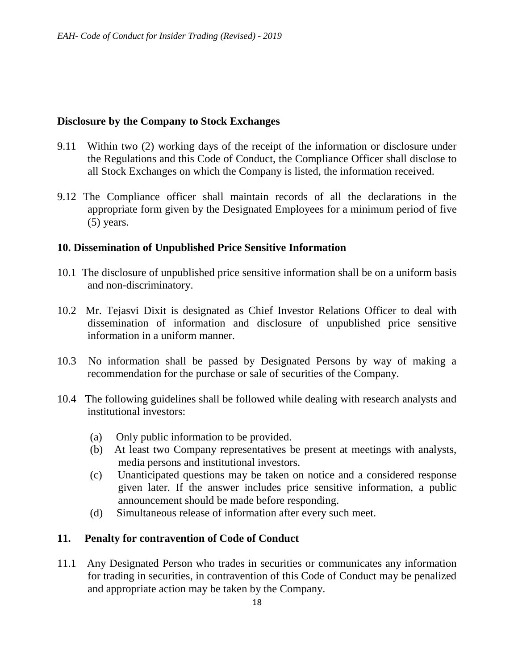#### **Disclosure by the Company to Stock Exchanges**

- 9.11 Within two (2) working days of the receipt of the information or disclosure under the Regulations and this Code of Conduct, the Compliance Officer shall disclose to all Stock Exchanges on which the Company is listed, the information received.
- 9.12 The Compliance officer shall maintain records of all the declarations in the appropriate form given by the Designated Employees for a minimum period of five (5) years.

#### **10. Dissemination of Unpublished Price Sensitive Information**

- 10.1 The disclosure of unpublished price sensitive information shall be on a uniform basis and non-discriminatory.
- 10.2 Mr. Tejasvi Dixit is designated as Chief Investor Relations Officer to deal with dissemination of information and disclosure of unpublished price sensitive information in a uniform manner.
- 10.3 No information shall be passed by Designated Persons by way of making a recommendation for the purchase or sale of securities of the Company.
- 10.4 The following guidelines shall be followed while dealing with research analysts and institutional investors:
	- (a) Only public information to be provided.
	- (b) At least two Company representatives be present at meetings with analysts, media persons and institutional investors.
	- (c) Unanticipated questions may be taken on notice and a considered response given later. If the answer includes price sensitive information, a public announcement should be made before responding.
	- (d) Simultaneous release of information after every such meet.

# **11. Penalty for contravention of Code of Conduct**

11.1 Any Designated Person who trades in securities or communicates any information for trading in securities, in contravention of this Code of Conduct may be penalized and appropriate action may be taken by the Company.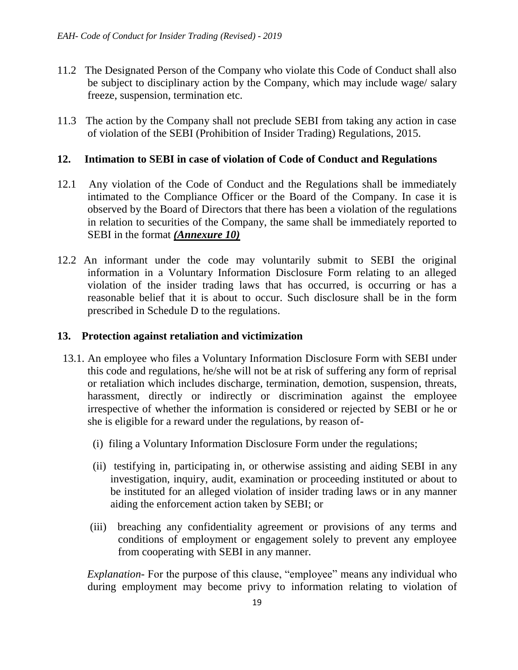- 11.2 The Designated Person of the Company who violate this Code of Conduct shall also be subject to disciplinary action by the Company, which may include wage/ salary freeze, suspension, termination etc.
- 11.3 The action by the Company shall not preclude SEBI from taking any action in case of violation of the SEBI (Prohibition of Insider Trading) Regulations, 2015.

### **12. Intimation to SEBI in case of violation of Code of Conduct and Regulations**

- 12.1 Any violation of the Code of Conduct and the Regulations shall be immediately intimated to the Compliance Officer or the Board of the Company. In case it is observed by the Board of Directors that there has been a violation of the regulations in relation to securities of the Company, the same shall be immediately reported to SEBI in the format *(Annexure 10)*
- 12.2 An informant under the code may voluntarily submit to SEBI the original information in a Voluntary Information Disclosure Form relating to an alleged violation of the insider trading laws that has occurred, is occurring or has a reasonable belief that it is about to occur. Such disclosure shall be in the form prescribed in Schedule D to the regulations.

### **13. Protection against retaliation and victimization**

- 13.1. An employee who files a Voluntary Information Disclosure Form with SEBI under this code and regulations, he/she will not be at risk of suffering any form of reprisal or retaliation which includes discharge, termination, demotion, suspension, threats, harassment, directly or indirectly or discrimination against the employee irrespective of whether the information is considered or rejected by SEBI or he or she is eligible for a reward under the regulations, by reason of-
	- (i) filing a Voluntary Information Disclosure Form under the regulations;
	- (ii) testifying in, participating in, or otherwise assisting and aiding SEBI in any investigation, inquiry, audit, examination or proceeding instituted or about to be instituted for an alleged violation of insider trading laws or in any manner aiding the enforcement action taken by SEBI; or
	- (iii) breaching any confidentiality agreement or provisions of any terms and conditions of employment or engagement solely to prevent any employee from cooperating with SEBI in any manner.

*Explanation*-For the purpose of this clause, "employee" means any individual who during employment may become privy to information relating to violation of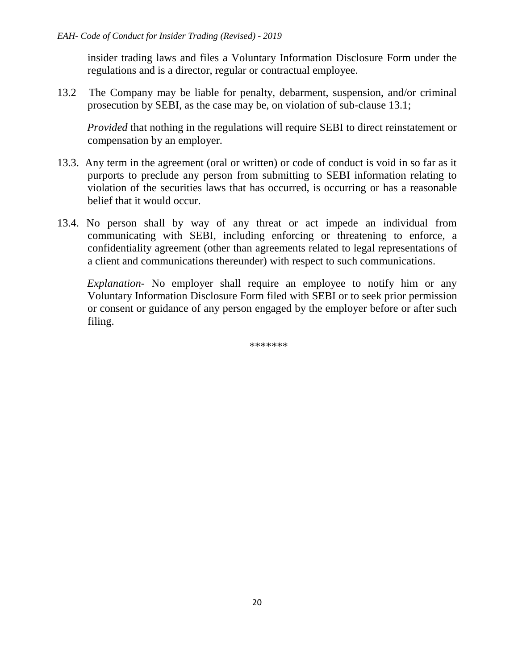insider trading laws and files a Voluntary Information Disclosure Form under the regulations and is a director, regular or contractual employee.

13.2 The Company may be liable for penalty, debarment, suspension, and/or criminal prosecution by SEBI, as the case may be, on violation of sub-clause 13.1;

 *Provided* that nothing in the regulations will require SEBI to direct reinstatement or compensation by an employer.

- 13.3. Any term in the agreement (oral or written) or code of conduct is void in so far as it purports to preclude any person from submitting to SEBI information relating to violation of the securities laws that has occurred, is occurring or has a reasonable belief that it would occur.
- 13.4. No person shall by way of any threat or act impede an individual from communicating with SEBI, including enforcing or threatening to enforce, a confidentiality agreement (other than agreements related to legal representations of a client and communications thereunder) with respect to such communications.

 *Explanation-* No employer shall require an employee to notify him or any Voluntary Information Disclosure Form filed with SEBI or to seek prior permission or consent or guidance of any person engaged by the employer before or after such filing.

\*\*\*\*\*\*\*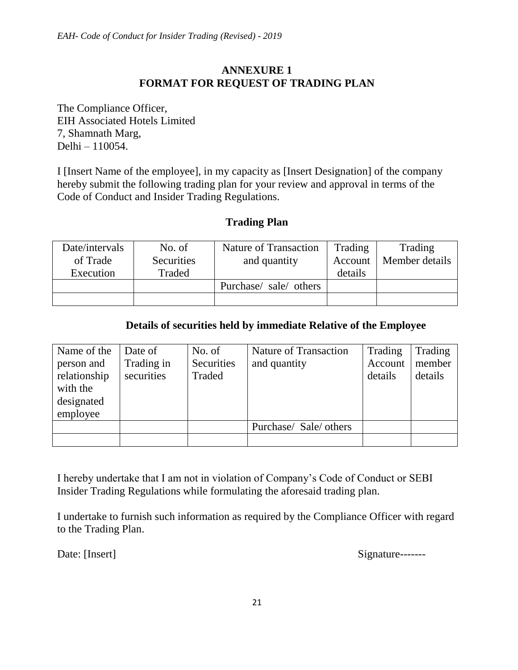# **ANNEXURE 1 FORMAT FOR REQUEST OF TRADING PLAN**

The Compliance Officer, EIH Associated Hotels Limited 7, Shamnath Marg, Delhi – 110054.

I [Insert Name of the employee], in my capacity as [Insert Designation] of the company hereby submit the following trading plan for your review and approval in terms of the Code of Conduct and Insider Trading Regulations.

#### **Trading Plan**

| Date/intervals | No. of            | <b>Nature of Transaction</b> | Trading | Trading        |
|----------------|-------------------|------------------------------|---------|----------------|
| of Trade       | <b>Securities</b> | and quantity                 | Account | Member details |
| Execution      | Traded            |                              | details |                |
|                |                   | Purchase/ sale/ others       |         |                |
|                |                   |                              |         |                |

### **Details of securities held by immediate Relative of the Employee**

| Name of the<br>person and<br>relationship<br>with the<br>designated<br>employee | Date of<br>Trading in<br>securities | No. of<br>Securities<br>Traded | <b>Nature of Transaction</b><br>and quantity | Trading<br>Account<br>details | Trading<br>member<br>details |
|---------------------------------------------------------------------------------|-------------------------------------|--------------------------------|----------------------------------------------|-------------------------------|------------------------------|
|                                                                                 |                                     |                                | Purchase/ Sale/ others                       |                               |                              |
|                                                                                 |                                     |                                |                                              |                               |                              |

I hereby undertake that I am not in violation of Company's Code of Conduct or SEBI Insider Trading Regulations while formulating the aforesaid trading plan.

I undertake to furnish such information as required by the Compliance Officer with regard to the Trading Plan.

Date: [Insert] Signature-------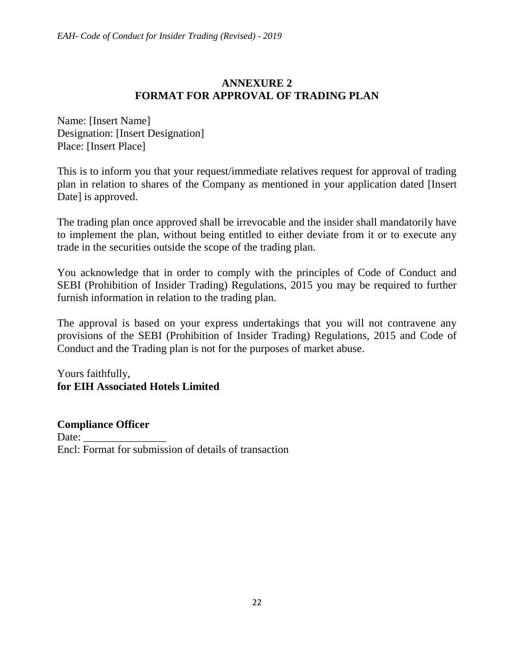# **ANNEXURE 2 FORMAT FOR APPROVAL OF TRADING PLAN**

Name: [Insert Name] Designation: [Insert Designation] Place: [Insert Place]

This is to inform you that your request/immediate relatives request for approval of trading plan in relation to shares of the Company as mentioned in your application dated [Insert Date] is approved.

The trading plan once approved shall be irrevocable and the insider shall mandatorily have to implement the plan, without being entitled to either deviate from it or to execute any trade in the securities outside the scope of the trading plan.

You acknowledge that in order to comply with the principles of Code of Conduct and SEBI (Prohibition of Insider Trading) Regulations, 2015 you may be required to further furnish information in relation to the trading plan.

The approval is based on your express undertakings that you will not contravene any provisions of the SEBI (Prohibition of Insider Trading) Regulations, 2015 and Code of Conduct and the Trading plan is not for the purposes of market abuse.

Yours faithfully, **for EIH Associated Hotels Limited**

**Compliance Officer** Date: Encl: Format for submission of details of transaction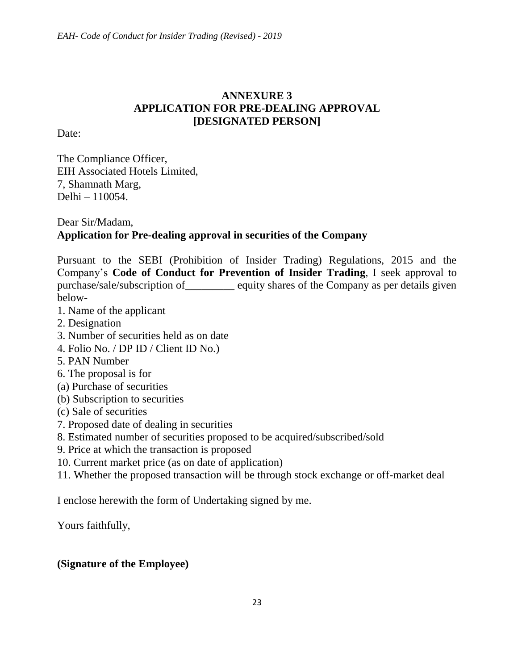# **ANNEXURE 3 APPLICATION FOR PRE-DEALING APPROVAL [DESIGNATED PERSON]**

Date:

The Compliance Officer, EIH Associated Hotels Limited, 7, Shamnath Marg, Delhi – 110054.

# Dear Sir/Madam, **Application for Pre-dealing approval in securities of the Company**

Pursuant to the SEBI (Prohibition of Insider Trading) Regulations, 2015 and the Company's **Code of Conduct for Prevention of Insider Trading**, I seek approval to purchase/sale/subscription of\_\_\_\_\_\_\_\_\_ equity shares of the Company as per details given below-

- 1. Name of the applicant
- 2. Designation
- 3. Number of securities held as on date
- 4. Folio No. / DP ID / Client ID No.)
- 5. PAN Number
- 6. The proposal is for
- (a) Purchase of securities
- (b) Subscription to securities
- (c) Sale of securities
- 7. Proposed date of dealing in securities
- 8. Estimated number of securities proposed to be acquired/subscribed/sold
- 9. Price at which the transaction is proposed
- 10. Current market price (as on date of application)
- 11. Whether the proposed transaction will be through stock exchange or off-market deal

I enclose herewith the form of Undertaking signed by me.

Yours faithfully,

# **(Signature of the Employee)**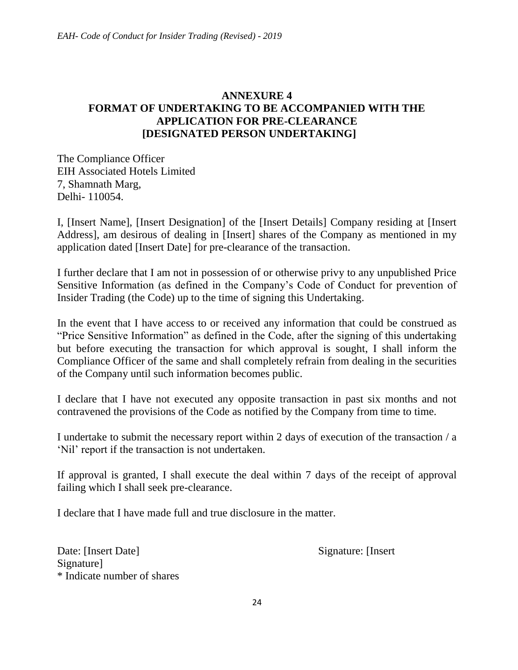# **ANNEXURE 4 FORMAT OF UNDERTAKING TO BE ACCOMPANIED WITH THE APPLICATION FOR PRE-CLEARANCE [DESIGNATED PERSON UNDERTAKING]**

The Compliance Officer EIH Associated Hotels Limited 7, Shamnath Marg, Delhi- 110054.

I, [Insert Name], [Insert Designation] of the [Insert Details] Company residing at [Insert Address], am desirous of dealing in [Insert] shares of the Company as mentioned in my application dated [Insert Date] for pre-clearance of the transaction.

I further declare that I am not in possession of or otherwise privy to any unpublished Price Sensitive Information (as defined in the Company's Code of Conduct for prevention of Insider Trading (the Code) up to the time of signing this Undertaking.

In the event that I have access to or received any information that could be construed as "Price Sensitive Information" as defined in the Code, after the signing of this undertaking but before executing the transaction for which approval is sought, I shall inform the Compliance Officer of the same and shall completely refrain from dealing in the securities of the Company until such information becomes public.

I declare that I have not executed any opposite transaction in past six months and not contravened the provisions of the Code as notified by the Company from time to time.

I undertake to submit the necessary report within 2 days of execution of the transaction / a 'Nil' report if the transaction is not undertaken.

If approval is granted, I shall execute the deal within 7 days of the receipt of approval failing which I shall seek pre-clearance.

I declare that I have made full and true disclosure in the matter.

Date: [Insert Date] Signature: [Insert] Signature] \* Indicate number of shares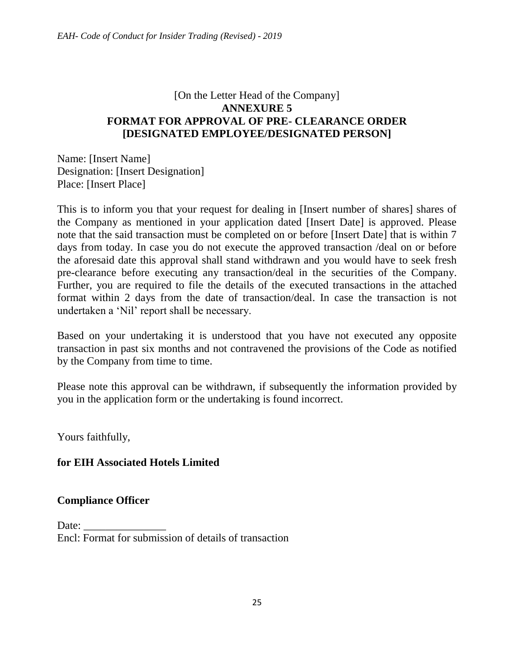# [On the Letter Head of the Company] **ANNEXURE 5 FORMAT FOR APPROVAL OF PRE- CLEARANCE ORDER [DESIGNATED EMPLOYEE/DESIGNATED PERSON]**

Name: [Insert Name] Designation: [Insert Designation] Place: [Insert Place]

This is to inform you that your request for dealing in [Insert number of shares] shares of the Company as mentioned in your application dated [Insert Date] is approved. Please note that the said transaction must be completed on or before [Insert Date] that is within 7 days from today. In case you do not execute the approved transaction /deal on or before the aforesaid date this approval shall stand withdrawn and you would have to seek fresh pre-clearance before executing any transaction/deal in the securities of the Company. Further, you are required to file the details of the executed transactions in the attached format within 2 days from the date of transaction/deal. In case the transaction is not undertaken a 'Nil' report shall be necessary.

Based on your undertaking it is understood that you have not executed any opposite transaction in past six months and not contravened the provisions of the Code as notified by the Company from time to time.

Please note this approval can be withdrawn, if subsequently the information provided by you in the application form or the undertaking is found incorrect.

Yours faithfully,

# **for EIH Associated Hotels Limited**

# **Compliance Officer**

Date: Encl: Format for submission of details of transaction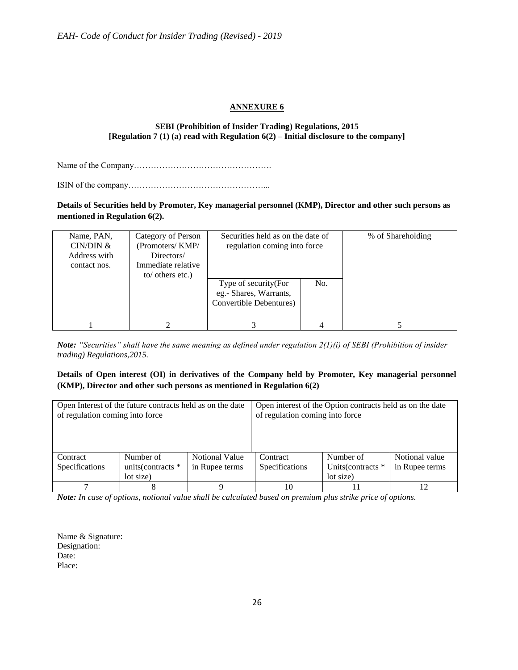#### **ANNEXURE 6**

#### **SEBI (Prohibition of Insider Trading) Regulations, 2015 [Regulation 7 (1) (a) read with Regulation 6(2) – Initial disclosure to the company]**

Name of the Company………………………………………….

ISIN of the company…………………………………………...

**Details of Securities held by Promoter, Key managerial personnel (KMP), Director and other such persons as mentioned in Regulation 6(2).**

| Name, PAN,<br>CIN/DIN &<br>Address with<br>contact nos. | Category of Person<br>(Promoters/KMP/<br>Directors/<br>Immediate relative<br>to/ others etc.) | Securities held as on the date of<br>regulation coming into force          | % of Shareholding |  |
|---------------------------------------------------------|-----------------------------------------------------------------------------------------------|----------------------------------------------------------------------------|-------------------|--|
|                                                         |                                                                                               | Type of security (For<br>eg.- Shares, Warrants,<br>Convertible Debentures) |                   |  |
|                                                         |                                                                                               |                                                                            |                   |  |

*Note: "Securities" shall have the same meaning as defined under regulation 2(1)(i) of SEBI (Prohibition of insider trading) Regulations,2015.*

#### **Details of Open interest (OI) in derivatives of the Company held by Promoter, Key managerial personnel (KMP), Director and other such persons as mentioned in Regulation 6(2)**

| of regulation coming into force | Open Interest of the future contracts held as on the date |                                         | Open interest of the Option contracts held as on the date<br>of regulation coming into force |                                              |                                  |  |
|---------------------------------|-----------------------------------------------------------|-----------------------------------------|----------------------------------------------------------------------------------------------|----------------------------------------------|----------------------------------|--|
| Contract<br>Specifications      | Number of<br>units (contracts *<br>lot size)              | <b>Notional Value</b><br>in Rupee terms | Contract<br>Specifications                                                                   | Number of<br>Units (contracts *<br>lot size) | Notional value<br>in Rupee terms |  |
|                                 |                                                           |                                         | 10                                                                                           |                                              |                                  |  |

*Note: In case of options, notional value shall be calculated based on premium plus strike price of options.*

Name & Signature: Designation: Date: Place: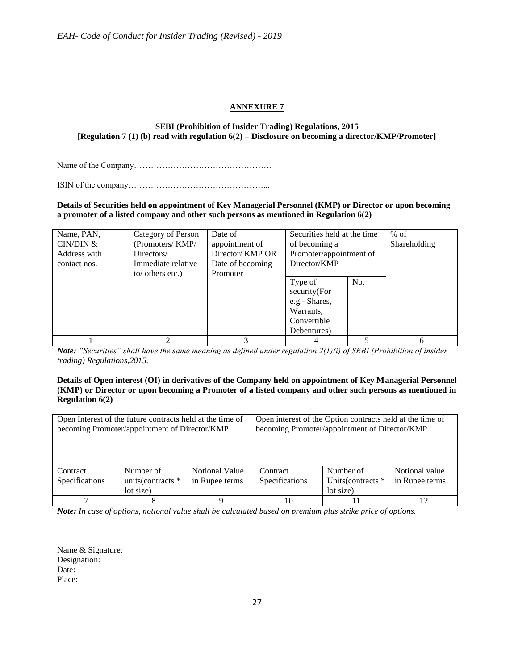#### **ANNEXURE 7**

#### **SEBI (Prohibition of Insider Trading) Regulations, 2015 [Regulation 7 (1) (b) read with regulation 6(2) – Disclosure on becoming a director/KMP/Promoter]**

Name of the Company………………………………………….

ISIN of the company…………………………………………...

**Details of Securities held on appointment of Key Managerial Personnel (KMP) or Director or upon becoming a promoter of a listed company and other such persons as mentioned in Regulation 6(2)**

| Name, PAN,   | Category of Person | Date of          | Securities held at the time | $%$ of |              |
|--------------|--------------------|------------------|-----------------------------|--------|--------------|
| CIN/DIN &    | (Promoters/KMP/    | appointment of   | of becoming a               |        | Shareholding |
| Address with | Directors/         | Director/ KMP OR | Promoter/appointment of     |        |              |
| contact nos. | Immediate relative | Date of becoming | Director/KMP                |        |              |
|              | to/ others etc.)   | Promoter         |                             |        |              |
|              |                    |                  | Type of                     | No.    |              |
|              |                    |                  | security(For                |        |              |
|              |                    |                  | e.g.- Shares,               |        |              |
|              |                    |                  | Warrants,                   |        |              |
|              |                    |                  | Convertible                 |        |              |
|              |                    |                  | Debentures)                 |        |              |
|              |                    |                  |                             |        | 6            |

*Note: "Securities" shall have the same meaning as defined under regulation 2(1)(i) of SEBI (Prohibition of insider trading) Regulations,2015.*

#### **Details of Open interest (OI) in derivatives of the Company held on appointment of Key Managerial Personnel (KMP) or Director or upon becoming a Promoter of a listed company and other such persons as mentioned in Regulation 6(2)**

|                            | Open Interest of the future contracts held at the time of<br>becoming Promoter/appointment of Director/KMP |                                  | Open interest of the Option contracts held at the time of<br>becoming Promoter/appointment of Director/KMP |                                              |                                  |  |
|----------------------------|------------------------------------------------------------------------------------------------------------|----------------------------------|------------------------------------------------------------------------------------------------------------|----------------------------------------------|----------------------------------|--|
| Contract<br>Specifications | Number of<br>units(contracts *<br>lot size)                                                                | Notional Value<br>in Rupee terms | Contract<br>Specifications                                                                                 | Number of<br>Units (contracts *<br>lot size) | Notional value<br>in Rupee terms |  |
|                            |                                                                                                            |                                  | 10                                                                                                         |                                              |                                  |  |

*Note: In case of options, notional value shall be calculated based on premium plus strike price of options.*

Name & Signature: Designation: Date: Place: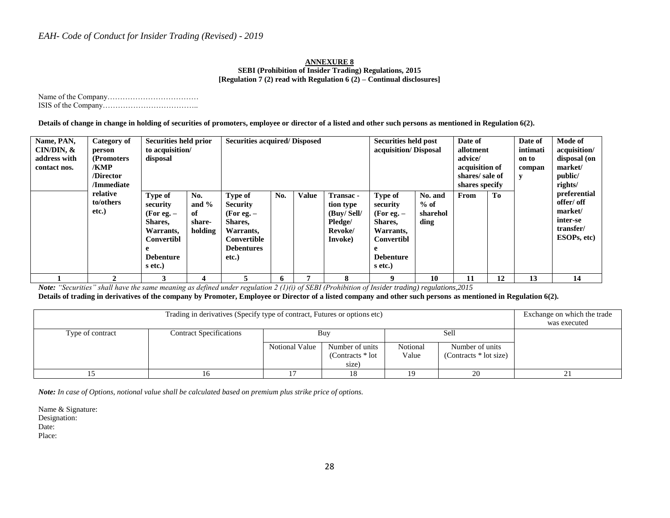#### **ANNEXURE 8 SEBI (Prohibition of Insider Trading) Regulations, 2015 [Regulation 7 (2) read with Regulation 6 (2) – Continual disclosures]**

Name of the Company……………………………… ISIS of the Company………………………………..

**Details of change in change in holding of securities of promoters, employee or director of a listed and other such persons as mentioned in Regulation 6(2).**

| Name, PAN,<br>$CIN/DIN, \&$<br>address with<br>contact nos. | Category of<br>person<br>(Promoters)<br>/KMP<br>/Director<br>/Immediate | Securities held prior<br>to acquisition/<br>disposal                                                            |                                           | <b>Securities acquired/Disposed</b>                                                                             |     |              | Securities held post<br>acquisition/Disposal                          |                                                                                                          | Date of<br>allotment<br>advice/<br>acquisition of<br>shares/sale of<br>shares specify |      | Date of<br>intimati<br>on to<br>compan<br>y | Mode of<br>acquisition/<br>disposal (on<br>market/<br>public/<br>rights/ |                                                                               |
|-------------------------------------------------------------|-------------------------------------------------------------------------|-----------------------------------------------------------------------------------------------------------------|-------------------------------------------|-----------------------------------------------------------------------------------------------------------------|-----|--------------|-----------------------------------------------------------------------|----------------------------------------------------------------------------------------------------------|---------------------------------------------------------------------------------------|------|---------------------------------------------|--------------------------------------------------------------------------|-------------------------------------------------------------------------------|
|                                                             | relative<br>to/others<br>etc.)                                          | <b>Type of</b><br>security<br>(For eg. $-$<br>Shares,<br>Warrants,<br>Convertibl<br><b>Debenture</b><br>s etc.) | No.<br>and $%$<br>of<br>share-<br>holding | Type of<br><b>Security</b><br>(For eg. $-$<br>Shares,<br>Warrants,<br>Convertible<br><b>Debentures</b><br>etc.) | No. | <b>Value</b> | Transac -<br>tion type<br>(Buy/Sell/<br>Pledge/<br>Revoke/<br>Invoke) | Type of<br>security<br>(For eg. $-$<br>Shares,<br>Warrants,<br>Convertibl<br><b>Debenture</b><br>s etc.) | No. and<br>$%$ of<br>sharehol<br>ding                                                 | From | To                                          |                                                                          | preferential<br>offer/ off<br>market/<br>inter-se<br>transfer/<br>ESOPs, etc) |
|                                                             |                                                                         |                                                                                                                 | $\overline{a}$                            |                                                                                                                 |     |              | 8                                                                     | 9                                                                                                        | 10                                                                                    | 11   | 12                                          | 13                                                                       | 14                                                                            |

*Note: "Securities" shall have the same meaning as defined under regulation 2 (1)(i) of SEBI (Prohibition of Insider trading) regulations,2015*

**Details of trading in derivatives of the company by Promoter, Employee or Director of a listed company and other such persons as mentioned in Regulation 6(2).**

|                  | Exchange on which the trade<br>was executed |                |                                                       |    |    |   |
|------------------|---------------------------------------------|----------------|-------------------------------------------------------|----|----|---|
| Type of contract | <b>Contract Specifications</b>              | Notional Value | Buy<br>Number of units<br>(Contracts $*$ lot<br>size) |    |    |   |
|                  | 10                                          |                | 18                                                    | 19 | 20 | 4 |

*Note: In case of Options, notional value shall be calculated based on premium plus strike price of options.*

Name & Signature: Designation:

Date:

Place: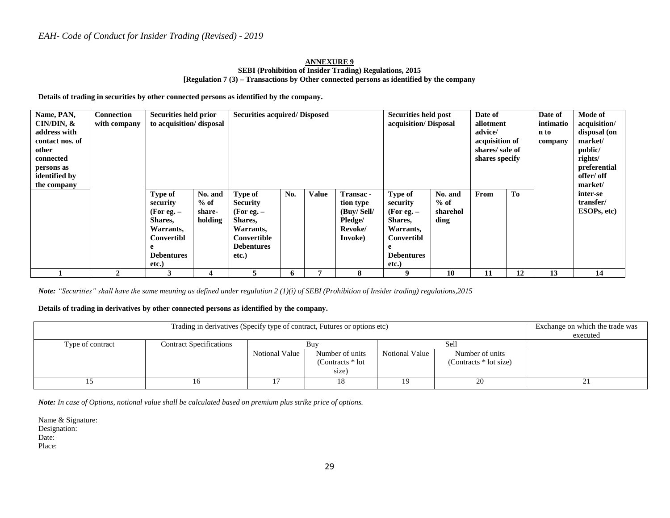#### **ANNEXURE 9 SEBI (Prohibition of Insider Trading) Regulations, 2015 [Regulation 7 (3) – Transactions by Other connected persons as identified by the company**

**Details of trading in securities by other connected persons as identified by the company.**

| Name, PAN,<br>$CIN/DIN, \&$<br>address with<br>contact nos. of<br>other<br>connected<br>persons as<br>identified by<br>the company | <b>Connection</b><br>with company | Securities held prior<br>to acquisition/disposal                                                        |                                        | <b>Securities acquired/Disposed</b>                                                                             |     |              | Date of<br><b>Securities held post</b><br>acquisition/Disposal<br>allotment<br>advice/<br>n to<br>acquisition of<br>shares/sale of<br>shares specify |                                                                                                         |                                       |      | Date of<br>intimatio<br>company | Mode of<br>acquisition/<br>disposal (on<br>market/<br>public/<br>rights/<br>preferential<br>offer/ off<br>market/ |                                      |
|------------------------------------------------------------------------------------------------------------------------------------|-----------------------------------|---------------------------------------------------------------------------------------------------------|----------------------------------------|-----------------------------------------------------------------------------------------------------------------|-----|--------------|------------------------------------------------------------------------------------------------------------------------------------------------------|---------------------------------------------------------------------------------------------------------|---------------------------------------|------|---------------------------------|-------------------------------------------------------------------------------------------------------------------|--------------------------------------|
|                                                                                                                                    |                                   | Type of<br>security<br>(For eg. $-$<br>Shares,<br>Warrants,<br>Convertibl<br><b>Debentures</b><br>etc.) | No. and<br>$%$ of<br>share-<br>holding | Type of<br><b>Security</b><br>(For eg. $-$<br>Shares,<br>Warrants,<br>Convertible<br><b>Debentures</b><br>etc.) | No. | <b>Value</b> | Transac -<br>tion type<br>(Buy/Sell/<br>Pledge/<br>Revoke/<br>Invoke)                                                                                | Type of<br>security<br>(For eg. $-$<br>Shares,<br>Warrants,<br>Convertibl<br><b>Debentures</b><br>etc.) | No. and<br>$%$ of<br>sharehol<br>ding | From | T <sub>0</sub>                  |                                                                                                                   | inter-se<br>transfer/<br>ESOPs, etc) |
|                                                                                                                                    | $\mathbf{2}$                      | 3                                                                                                       | 4                                      | 5                                                                                                               | 6   |              | 8                                                                                                                                                    | 9                                                                                                       | 10                                    | 11   | 12                              | 13                                                                                                                | 14                                   |

*Note: "Securities" shall have the same meaning as defined under regulation 2 (1)(i) of SEBI (Prohibition of Insider trading) regulations,2015*

#### **Details of trading in derivatives by other connected persons as identified by the company.**

|                  | Exchange on which the trade was<br>executed |                |                                                       |                |                                                     |     |
|------------------|---------------------------------------------|----------------|-------------------------------------------------------|----------------|-----------------------------------------------------|-----|
| Type of contract | <b>Contract Specifications</b>              | Notional Value | Buv<br>Number of units<br>(Contracts $*$ lot<br>size) | Notional Value | Sell<br>Number of units<br>(Contracts $*$ lot size) |     |
|                  | 16                                          |                |                                                       | 19             | 20                                                  | . ب |

*Note: In case of Options, notional value shall be calculated based on premium plus strike price of options.*

Name & Signature: Designation: Date: Place: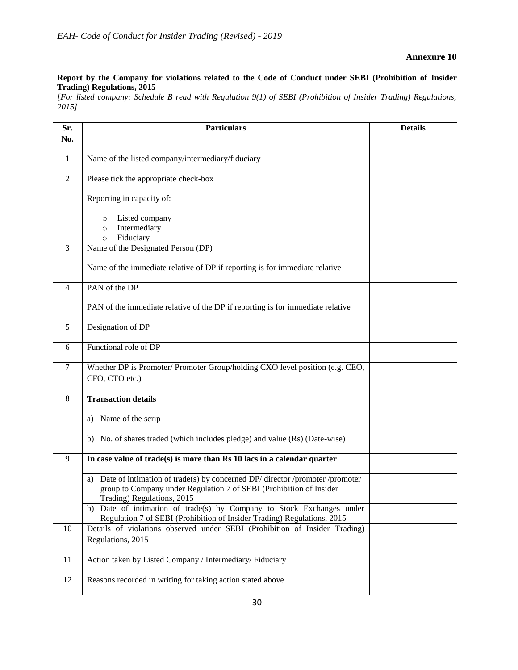#### **Annexure 10**

#### **Report by the Company for violations related to the Code of Conduct under SEBI (Prohibition of Insider Trading) Regulations, 2015**

*[For listed company: Schedule B read with Regulation 9(1) of SEBI (Prohibition of Insider Trading) Regulations, 2015]*

| Sr.          | <b>Particulars</b>                                                                                                                                                                      | <b>Details</b> |
|--------------|-----------------------------------------------------------------------------------------------------------------------------------------------------------------------------------------|----------------|
| No.          |                                                                                                                                                                                         |                |
| $\mathbf{1}$ | Name of the listed company/intermediary/fiduciary                                                                                                                                       |                |
| 2            | Please tick the appropriate check-box                                                                                                                                                   |                |
|              | Reporting in capacity of:                                                                                                                                                               |                |
|              | Listed company<br>$\circ$<br>Intermediary<br>$\circ$<br>Fiduciary<br>$\circ$                                                                                                            |                |
| 3            | Name of the Designated Person (DP)                                                                                                                                                      |                |
|              | Name of the immediate relative of DP if reporting is for immediate relative                                                                                                             |                |
| 4            | PAN of the DP                                                                                                                                                                           |                |
|              | PAN of the immediate relative of the DP if reporting is for immediate relative                                                                                                          |                |
| 5            | Designation of DP                                                                                                                                                                       |                |
| 6            | Functional role of DP                                                                                                                                                                   |                |
| 7            | Whether DP is Promoter/Promoter Group/holding CXO level position (e.g. CEO,<br>CFO, CTO etc.)                                                                                           |                |
| 8            | <b>Transaction details</b>                                                                                                                                                              |                |
|              | Name of the scrip<br>a)                                                                                                                                                                 |                |
|              | No. of shares traded (which includes pledge) and value (Rs) (Date-wise)<br>b)                                                                                                           |                |
| 9            | In case value of $trade(s)$ is more than $\mathbb{R}s$ 10 lacs in a calendar quarter                                                                                                    |                |
|              | Date of intimation of trade(s) by concerned DP/ director /promoter /promoter<br>a)<br>group to Company under Regulation 7 of SEBI (Prohibition of Insider<br>Trading) Regulations, 2015 |                |
|              | b) Date of intimation of trade(s) by Company to Stock Exchanges under<br>Regulation 7 of SEBI (Prohibition of Insider Trading) Regulations, 2015                                        |                |
| 10           | Details of violations observed under SEBI (Prohibition of Insider Trading)                                                                                                              |                |
|              | Regulations, 2015                                                                                                                                                                       |                |
| 11           | Action taken by Listed Company / Intermediary/ Fiduciary                                                                                                                                |                |
| 12           | Reasons recorded in writing for taking action stated above                                                                                                                              |                |